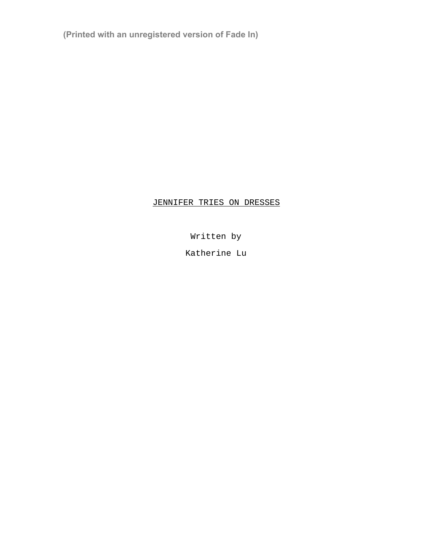**(Printed with an unregistered version of Fade In)**

## JENNIFER TRIES ON DRESSES

Written by

Katherine Lu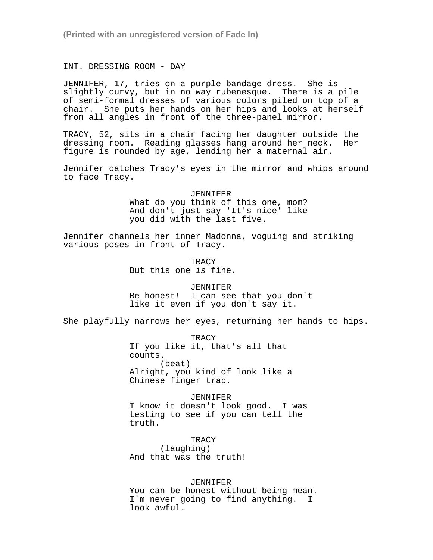**(Printed with an unregistered version of Fade In)**

INT. DRESSING ROOM - DAY

JENNIFER, 17, tries on a purple bandage dress. She is slightly curvy, but in no way rubenesque. There is a pile of semi-formal dresses of various colors piled on top of a chair. She puts her hands on her hips and looks at herself from all angles in front of the three-panel mirror.

TRACY, 52, sits in a chair facing her daughter outside the dressing room. Reading glasses hang around her neck. Her figure is rounded by age, lending her a maternal air.

Jennifer catches Tracy's eyes in the mirror and whips around to face Tracy.

> JENNIFER What do you think of this one, mom? And don't just say 'It's nice' like you did with the last five.

Jennifer channels her inner Madonna, voguing and striking various poses in front of Tracy.

> TRACY But this one is fine.

JENNIFER Be honest! I can see that you don't like it even if you don't say it.

She playfully narrows her eyes, returning her hands to hips.

TRACY If you like it, that's all that counts. (beat) Alright, you kind of look like a Chinese finger trap.

JENNIFER I know it doesn't look good. I was testing to see if you can tell the truth.

TRACY (laughing) And that was the truth!

JENNIFER

You can be honest without being mean. I'm never going to find anything. I look awful.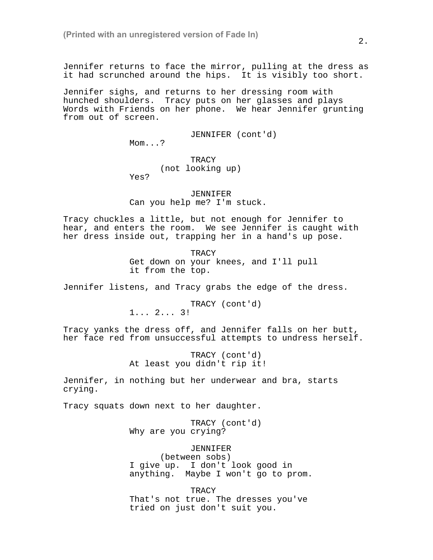Jennifer returns to face the mirror, pulling at the dress as it had scrunched around the hips. It is visibly too short.

Jennifer sighs, and returns to her dressing room with hunched shoulders. Tracy puts on her glasses and plays Words with Friends on her phone. We hear Jennifer grunting from out of screen.

JENNIFER (cont'd)

Mom...?

## TRACY (not looking up)

Yes?

JENNIFER Can you help me? I'm stuck.

Tracy chuckles a little, but not enough for Jennifer to hear, and enters the room. We see Jennifer is caught with her dress inside out, trapping her in a hand's up pose.

> TRACY Get down on your knees, and I'll pull it from the top.

Jennifer listens, and Tracy grabs the edge of the dress.

TRACY (cont'd) 1... 2... 3!

Tracy yanks the dress off, and Jennifer falls on her butt, her face red from unsuccessful attempts to undress herself.

> TRACY (cont'd) At least you didn't rip it!

Jennifer, in nothing but her underwear and bra, starts crying.

Tracy squats down next to her daughter.

TRACY (cont'd) Why are you crying?

## JENNIFER

(between sobs) I give up. I don't look good in anything. Maybe I won't go to prom.

TRACY

That's not true. The dresses you've tried on just don't suit you.